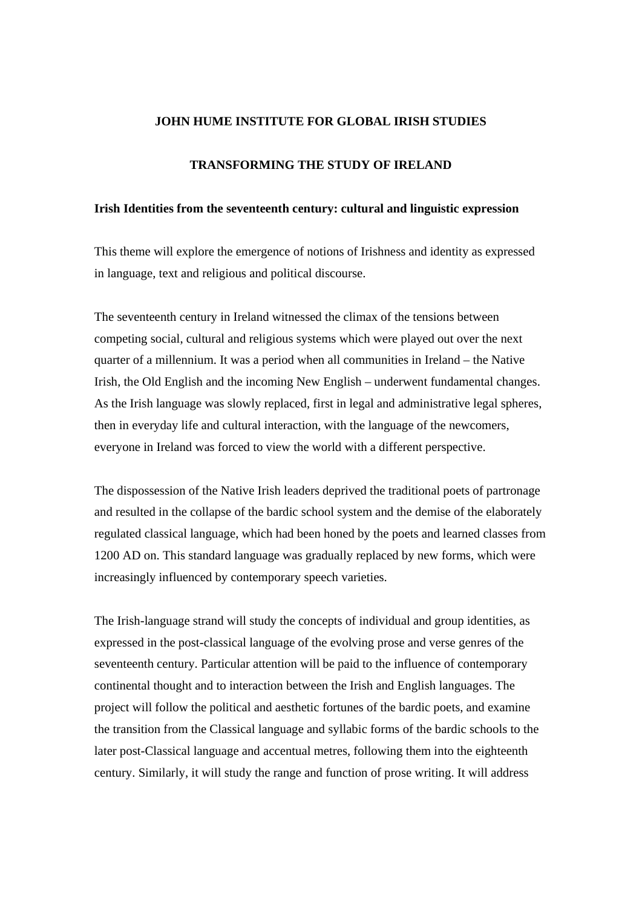#### **JOHN HUME INSTITUTE FOR GLOBAL IRISH STUDIES**

# **TRANSFORMING THE STUDY OF IRELAND**

### **Irish Identities from the seventeenth century: cultural and linguistic expression**

This theme will explore the emergence of notions of Irishness and identity as expressed in language, text and religious and political discourse.

The seventeenth century in Ireland witnessed the climax of the tensions between competing social, cultural and religious systems which were played out over the next quarter of a millennium. It was a period when all communities in Ireland – the Native Irish, the Old English and the incoming New English – underwent fundamental changes. As the Irish language was slowly replaced, first in legal and administrative legal spheres, then in everyday life and cultural interaction, with the language of the newcomers, everyone in Ireland was forced to view the world with a different perspective.

The dispossession of the Native Irish leaders deprived the traditional poets of partronage and resulted in the collapse of the bardic school system and the demise of the elaborately regulated classical language, which had been honed by the poets and learned classes from 1200 AD on. This standard language was gradually replaced by new forms, which were increasingly influenced by contemporary speech varieties.

The Irish-language strand will study the concepts of individual and group identities, as expressed in the post-classical language of the evolving prose and verse genres of the seventeenth century. Particular attention will be paid to the influence of contemporary continental thought and to interaction between the Irish and English languages. The project will follow the political and aesthetic fortunes of the bardic poets, and examine the transition from the Classical language and syllabic forms of the bardic schools to the later post-Classical language and accentual metres, following them into the eighteenth century. Similarly, it will study the range and function of prose writing. It will address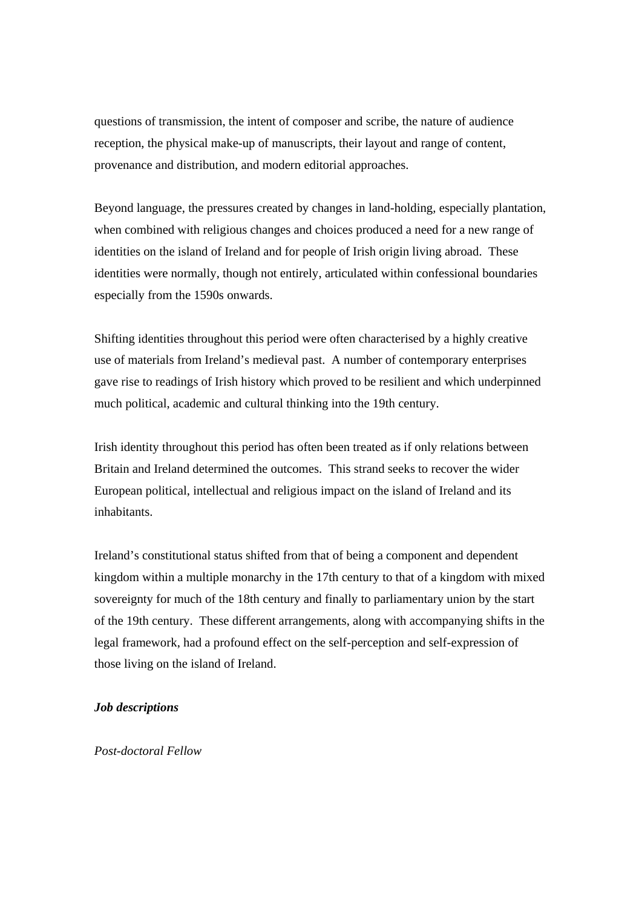questions of transmission, the intent of composer and scribe, the nature of audience reception, the physical make-up of manuscripts, their layout and range of content, provenance and distribution, and modern editorial approaches.

Beyond language, the pressures created by changes in land-holding, especially plantation, when combined with religious changes and choices produced a need for a new range of identities on the island of Ireland and for people of Irish origin living abroad. These identities were normally, though not entirely, articulated within confessional boundaries especially from the 1590s onwards.

Shifting identities throughout this period were often characterised by a highly creative use of materials from Ireland's medieval past. A number of contemporary enterprises gave rise to readings of Irish history which proved to be resilient and which underpinned much political, academic and cultural thinking into the 19th century.

Irish identity throughout this period has often been treated as if only relations between Britain and Ireland determined the outcomes. This strand seeks to recover the wider European political, intellectual and religious impact on the island of Ireland and its inhabitants.

Ireland's constitutional status shifted from that of being a component and dependent kingdom within a multiple monarchy in the 17th century to that of a kingdom with mixed sovereignty for much of the 18th century and finally to parliamentary union by the start of the 19th century. These different arrangements, along with accompanying shifts in the legal framework, had a profound effect on the self-perception and self-expression of those living on the island of Ireland.

## *Job descriptions*

*Post-doctoral Fellow*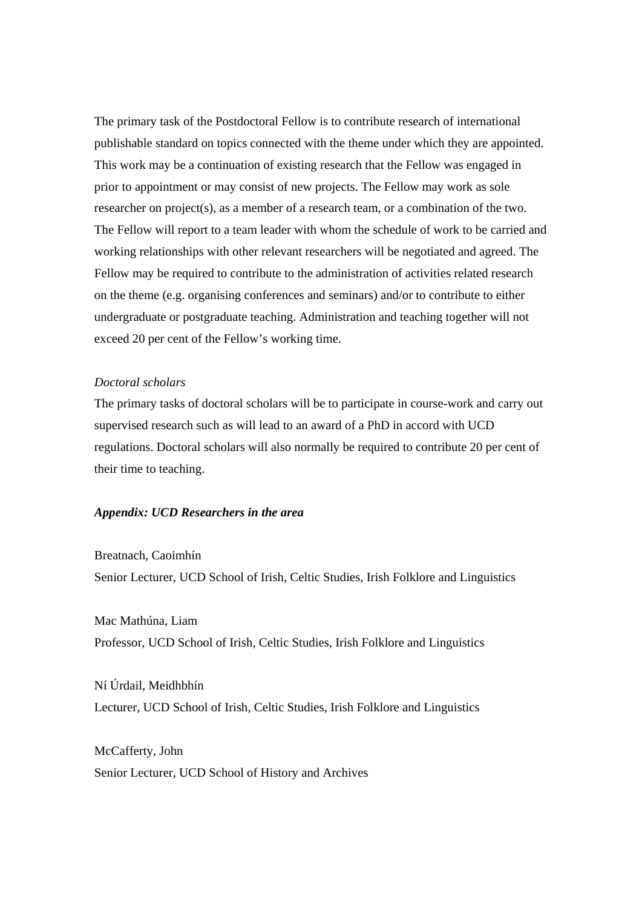The primary task of the Postdoctoral Fellow is to contribute research of international publishable standard on topics connected with the theme under which they are appointed. This work may be a continuation of existing research that the Fellow was engaged in prior to appointment or may consist of new projects. The Fellow may work as sole researcher on project(s), as a member of a research team, or a combination of the two. The Fellow will report to a team leader with whom the schedule of work to be carried and working relationships with other relevant researchers will be negotiated and agreed. The Fellow may be required to contribute to the administration of activities related research on the theme (e.g. organising conferences and seminars) and/or to contribute to either undergraduate or postgraduate teaching. Administration and teaching together will not exceed 20 per cent of the Fellow's working time.

### *Doctoral scholars*

The primary tasks of doctoral scholars will be to participate in course-work and carry out supervised research such as will lead to an award of a PhD in accord with UCD regulations. Doctoral scholars will also normally be required to contribute 20 per cent of their time to teaching.

### *Appendix: UCD Researchers in the area*

Breatnach, Caoimhín Senior Lecturer, UCD School of Irish, Celtic Studies, Irish Folklore and Linguistics

Mac Mathúna, Liam Professor, UCD School of Irish, Celtic Studies, Irish Folklore and Linguistics

Ní Úrdail, Meidhbhín Lecturer, UCD School of Irish, Celtic Studies, Irish Folklore and Linguistics

McCafferty, John Senior Lecturer, UCD School of History and Archives